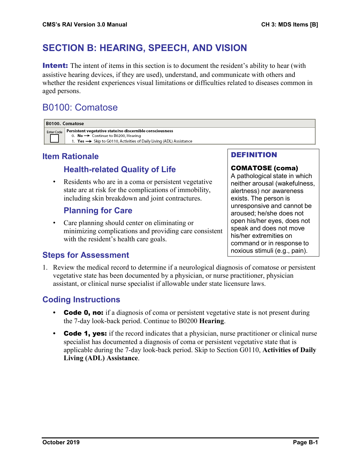# **SECTION B: HEARING, SPEECH, AND VISION**

**Intent:** The intent of items in this section is to document the resident's ability to hear (with assistive hearing devices, if they are used), understand, and communicate with others and whether the resident experiences visual limitations or difficulties related to diseases common in aged persons.

# B0100: Comatose

|            | B0100, Comatose                                                                                                                                                                                                 |  |
|------------|-----------------------------------------------------------------------------------------------------------------------------------------------------------------------------------------------------------------|--|
| Enter Code | Persistent vegetative state/no discernible consciousness<br>0. $\mathsf{No} \rightarrow \mathsf{Continue}$ to B0200, Hearing<br>1. Yes $\rightarrow$ Skip to G0110, Activities of Daily Living (ADL) Assistance |  |

# **Item Rationale**

# **Health-related Quality of Life**

• Residents who are in a coma or persistent vegetative state are at risk for the complications of immobility, including skin breakdown and joint contractures.

# **Planning for Care**

• Care planning should center on eliminating or minimizing complications and providing care consistent with the resident's health care goals.

# DEFINITION

#### COMATOSE (coma)

A pathological state in which neither arousal (wakefulness, alertness) nor awareness exists. The person is unresponsive and cannot be aroused; he/she does not open his/her eyes, does not speak and does not move his/her extremities on command or in response to noxious stimuli (e.g., pain).

# **Steps for Assessment**

1. Review the medical record to determine if a neurological diagnosis of comatose or persistent vegetative state has been documented by a physician, or nurse practitioner, physician assistant, or clinical nurse specialist if allowable under state licensure laws.

- Code 0, no: if a diagnosis of coma or persistent vegetative state is not present during the 7-day look-back period. Continue to B0200 **Hearing**.
- **Code 1, yes:** if the record indicates that a physician, nurse practitioner or clinical nurse specialist has documented a diagnosis of coma or persistent vegetative state that is applicable during the 7-day look-back period. Skip to Section G0110, **Activities of Daily Living (ADL) Assistance**.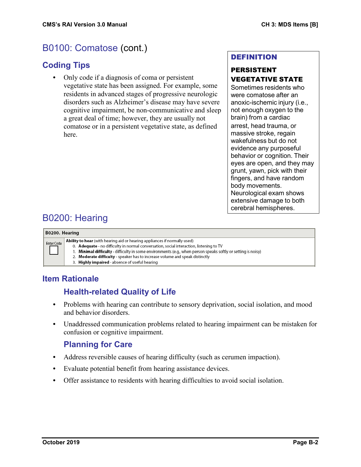# B0100: Comatose (cont.)

# **Coding Tips**

**•** Only code if a diagnosis of coma or persistent vegetative state has been assigned. For example, some residents in advanced stages of progressive neurologic disorders such as Alzheimer's disease may have severe cognitive impairment, be non-communicative and sleep a great deal of time; however, they are usually not comatose or in a persistent vegetative state, as defined here.

#### DEFINITION

#### PERSISTENT VEGETATIVE STATE

Sometimes residents who were comatose after an anoxic-ischemic injury (i.e., not enough oxygen to the brain) from a cardiac

arrest, head trauma, or massive stroke, regain wakefulness but do not evidence any purposeful behavior or cognition. Their eyes are open, and they may grunt, yawn, pick with their fingers, and have random body movements. Neurological exam shows extensive damage to both cerebral hemispheres.

# B0200: Hearing

#### B0200. Hearing

Enter Code

- Ability to hear (with hearing aid or hearing appliances if normally used)
	- 0. Adequate no difficulty in normal conversation, social interaction, listening to TV
	- 1. Minimal difficulty difficulty in some environments (e.g., when person speaks softly or setting is noisy)
	- 2. Moderate difficulty speaker has to increase volume and speak distinctly
	- 3. Highly impaired absence of useful hearing

# **Item Rationale**

# **Health-related Quality of Life**

- **•** Problems with hearing can contribute to sensory deprivation, social isolation, and mood and behavior disorders.
- **•** Unaddressed communication problems related to hearing impairment can be mistaken for confusion or cognitive impairment.

### **Planning for Care**

- **•** Address reversible causes of hearing difficulty (such as cerumen impaction).
- **•** Evaluate potential benefit from hearing assistance devices.
- **•** Offer assistance to residents with hearing difficulties to avoid social isolation.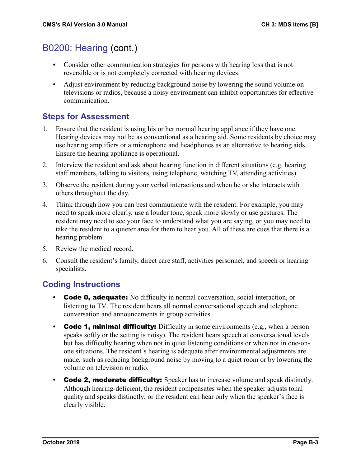# B0200: Hearing (cont.)

- **•** Consider other communication strategies for persons with hearing loss that is not reversible or is not completely corrected with hearing devices.
- **•** Adjust environment by reducing background noise by lowering the sound volume on televisions or radios, because a noisy environment can inhibit opportunities for effective communication.

# **Steps for Assessment**

- 1. Ensure that the resident is using his or her normal hearing appliance if they have one. Hearing devices may not be as conventional as a hearing aid. Some residents by choice may use hearing amplifiers or a microphone and headphones as an alternative to hearing aids. Ensure the hearing appliance is operational.
- 2. Interview the resident and ask about hearing function in different situations (e.g. hearing staff members, talking to visitors, using telephone, watching TV, attending activities).
- 3. Observe the resident during your verbal interactions and when he or she interacts with others throughout the day.
- 4. Think through how you can best communicate with the resident. For example, you may need to speak more clearly, use a louder tone, speak more slowly or use gestures. The resident may need to see your face to understand what you are saying, or you may need to take the resident to a quieter area for them to hear you. All of these are cues that there is a hearing problem.
- 5. Review the medical record.
- 6. Consult the resident's family, direct care staff, activities personnel, and speech or hearing specialists.

- **•** Code 0, adequate: No difficulty in normal conversation, social interaction, or listening to TV. The resident hears all normal conversational speech and telephone conversation and announcements in group activities.
- **•** Code 1, minimal difficulty: Difficulty in some environments (e.g., when a person speaks softly or the setting is noisy). The resident hears speech at conversational levels but has difficulty hearing when not in quiet listening conditions or when not in one-onone situations. The resident's hearing is adequate after environmental adjustments are made, such as reducing background noise by moving to a quiet room or by lowering the volume on television or radio.
- **•** Code 2, moderate difficulty: Speaker has to increase volume and speak distinctly. Although hearing-deficient, the resident compensates when the speaker adjusts tonal quality and speaks distinctly; or the resident can hear only when the speaker's face is clearly visible.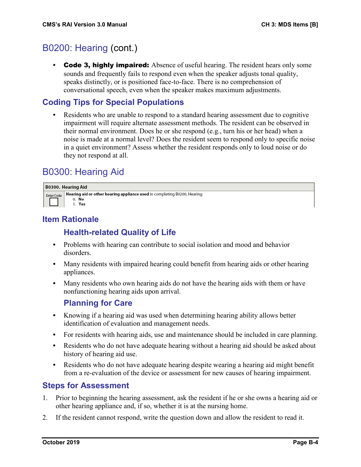# B0200: Hearing (cont.)

**•** Code 3, highly impaired: Absence of useful hearing. The resident hears only some sounds and frequently fails to respond even when the speaker adjusts tonal quality, speaks distinctly, or is positioned face-to-face. There is no comprehension of conversational speech, even when the speaker makes maximum adjustments.

## **Coding Tips for Special Populations**

**•** Residents who are unable to respond to a standard hearing assessment due to cognitive impairment will require alternate assessment methods. The resident can be observed in their normal environment. Does he or she respond (e.g., turn his or her head) when a noise is made at a normal level? Does the resident seem to respond only to specific noise in a quiet environment? Assess whether the resident responds only to loud noise or do they not respond at all.

# B0300: Hearing Aid

|            | B0300. Hearing Aid                                                                          |  |  |
|------------|---------------------------------------------------------------------------------------------|--|--|
| Enter Code | Hearing aid or other hearing appliance used in completing B0200, Hearing<br>0. No<br>1. Yes |  |  |

# **Item Rationale**

### **Health-related Quality of Life**

- **•** Problems with hearing can contribute to social isolation and mood and behavior disorders.
- **•** Many residents with impaired hearing could benefit from hearing aids or other hearing appliances.
- **•** Many residents who own hearing aids do not have the hearing aids with them or have nonfunctioning hearing aids upon arrival.

### **Planning for Care**

- **•** Knowing if a hearing aid was used when determining hearing ability allows better identification of evaluation and management needs.
- **•** For residents with hearing aids, use and maintenance should be included in care planning.
- **•** Residents who do not have adequate hearing without a hearing aid should be asked about history of hearing aid use.
- **•** Residents who do not have adequate hearing despite wearing a hearing aid might benefit from a re-evaluation of the device or assessment for new causes of hearing impairment.

### **Steps for Assessment**

- 1. Prior to beginning the hearing assessment, ask the resident if he or she owns a hearing aid or other hearing appliance and, if so, whether it is at the nursing home.
- 2. If the resident cannot respond, write the question down and allow the resident to read it.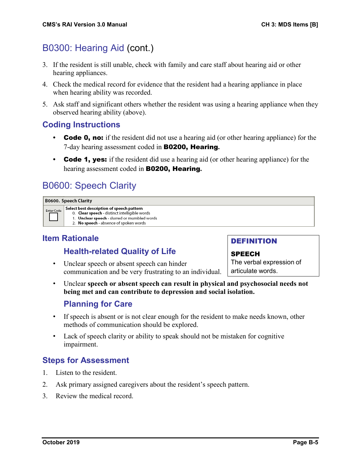# B0300: Hearing Aid (cont.)

- 3. If the resident is still unable, check with family and care staff about hearing aid or other hearing appliances.
- 4. Check the medical record for evidence that the resident had a hearing appliance in place when hearing ability was recorded.
- 5. Ask staff and significant others whether the resident was using a hearing appliance when they observed hearing ability (above).

### **Coding Instructions**

- **Code 0, no:** if the resident did not use a hearing aid (or other hearing appliance) for the 7-day hearing assessment coded in B0200, Hearing**.**
- **Code 1, yes:** if the resident did use a hearing aid (or other hearing appliance) for the hearing assessment coded in B0200, Hearing**.**

# B0600: Speech Clarity

#### B0600. Speech Clarity

Select best description of speech pattern Enter Code

- 0. Clear speech distinct intelligible words
	- 1. Unclear speech slurred or mumbled words 2. No speech - absence of spoken words

# **Item Rationale**

# **Health-related Quality of Life**

• Unclear speech or absent speech can hinder communication and be very frustrating to an individual.

#### DEFINITION

#### **SPEECH**

The verbal expression of articulate words.

• Unclear **speech or absent speech can result in physical and psychosocial needs not being met and can contribute to depression and social isolation.**

### **Planning for Care**

- If speech is absent or is not clear enough for the resident to make needs known, other methods of communication should be explored.
- Lack of speech clarity or ability to speak should not be mistaken for cognitive impairment.

# **Steps for Assessment**

- 1. Listen to the resident.
- 2. Ask primary assigned caregivers about the resident's speech pattern.
- 3. Review the medical record.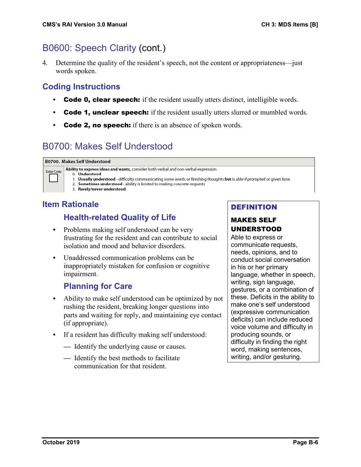# B0600: Speech Clarity (cont.)

4. Determine the quality of the resident's speech, not the content or appropriateness—just words spoken.

# **Coding Instructions**

- **Code 0, clear speech:** if the resident usually utters distinct, intelligible words.
- **•** Code 1, unclear speech: if the resident usually utters slurred or mumbled words.
- **•** Code 2, no speech: if there is an absence of spoken words.

# B0700: Makes Self Understood

#### **B0700. Makes Self Understood**

- Ability to express ideas and wants, consider both verbal and non-verbal expression Enter Code
	- 0. Understood
		- 1. Usually understood difficulty communicating some words or finishing thoughts but is able if prompted or given time
	- 2. Sometimes understood ability is limited to making concrete requests
	- 3. Rarely/never understood

# **Item Rationale**

# **Health-related Quality of Life**

- **•** Problems making self understood can be very frustrating for the resident and can contribute to social isolation and mood and behavior disorders.
- **•** Unaddressed communication problems can be inappropriately mistaken for confusion or cognitive impairment.

# **Planning for Care**

- **•** Ability to make self understood can be optimized by not rushing the resident, breaking longer questions into parts and waiting for reply, and maintaining eye contact (if appropriate).
- **•** If a resident has difficulty making self understood:
	- **—** Identify the underlying cause or causes.
	- **—** Identify the best methods to facilitate communication for that resident.

#### DEFINITION

#### MAKES SELF UNDERSTOOD

Able to express or communicate requests, needs, opinions, and to conduct social conversation in his or her primary language, whether in speech, writing, sign language, gestures, or a combination of these. Deficits in the ability to make one's self understood (expressive communication deficits) can include reduced voice volume and difficulty in producing sounds, or difficulty in finding the right word, making sentences, writing, and/or gesturing.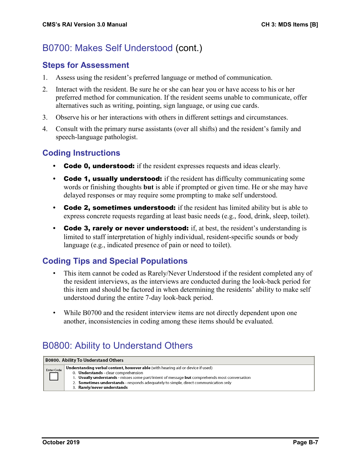# B0700: Makes Self Understood (cont.)

## **Steps for Assessment**

- 1. Assess using the resident's preferred language or method of communication.
- 2. Interact with the resident. Be sure he or she can hear you or have access to his or her preferred method for communication. If the resident seems unable to communicate, offer alternatives such as writing, pointing, sign language, or using cue cards.
- 3. Observe his or her interactions with others in different settings and circumstances.
- 4. Consult with the primary nurse assistants (over all shifts) and the resident's family and speech-language pathologist.

# **Coding Instructions**

- **•** Code 0, understood: if the resident expresses requests and ideas clearly.
- Code 1, usually understood: if the resident has difficulty communicating some words or finishing thoughts **but** is able if prompted or given time. He or she may have delayed responses or may require some prompting to make self understood.
- Code 2, sometimes understood: if the resident has limited ability but is able to express concrete requests regarding at least basic needs (e.g., food, drink, sleep, toilet).
- **Code 3, rarely or never understood:** if, at best, the resident's understanding is limited to staff interpretation of highly individual, resident-specific sounds or body language (e.g., indicated presence of pain or need to toilet).

# **Coding Tips and Special Populations**

- This item cannot be coded as Rarely/Never Understood if the resident completed any of the resident interviews, as the interviews are conducted during the look-back period for this item and should be factored in when determining the residents' ability to make self understood during the entire 7-day look-back period.
- While B0700 and the resident interview items are not directly dependent upon one another, inconsistencies in coding among these items should be evaluated.

# B0800: Ability to Understand Others

| <b>B0800. Ability To Understand Others</b> |                                                                                               |  |  |
|--------------------------------------------|-----------------------------------------------------------------------------------------------|--|--|
| Enter Code                                 | Understanding verbal content, however able (with hearing aid or device if used)               |  |  |
|                                            | 0. Understands - clear comprehension                                                          |  |  |
|                                            | 1. Usually understands - misses some part/intent of message but comprehends most conversation |  |  |
|                                            | 2. Sometimes understands - responds adequately to simple, direct communication only           |  |  |
|                                            | 3. Rarely/never understands                                                                   |  |  |
|                                            |                                                                                               |  |  |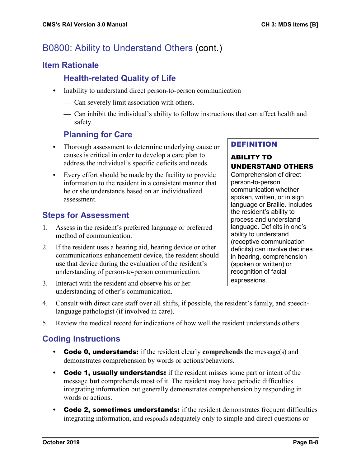# B0800: Ability to Understand Others (cont.)

# **Item Rationale**

# **Health-related Quality of Life**

- **•** Inability to understand direct person-to-person communication
	- **—** Can severely limit association with others.
	- **—** Can inhibit the individual's ability to follow instructions that can affect health and safety.

## **Planning for Care**

- **•** Thorough assessment to determine underlying cause or causes is critical in order to develop a care plan to address the individual's specific deficits and needs.
- **•** Every effort should be made by the facility to provide information to the resident in a consistent manner that he or she understands based on an individualized assessment.

# **Steps for Assessment**

- 1. Assess in the resident's preferred language or preferred method of communication.
- 2. If the resident uses a hearing aid, hearing device or other communications enhancement device, the resident should use that device during the evaluation of the resident's understanding of person-to-person communication.
- 3. Interact with the resident and observe his or her understanding of other's communication.

#### DEFINITION

## ABILITY TO UNDERSTAND OTHERS

Comprehension of direct person-to-person communication whether spoken, written, or in sign language or Braille. Includes the resident's ability to process and understand language. Deficits in one's ability to understand (receptive communication deficits) can involve declines in hearing, comprehension (spoken or written) or recognition of facial expressions.

- 4. Consult with direct care staff over all shifts, if possible, the resident's family, and speechlanguage pathologist (if involved in care).
- 5. Review the medical record for indications of how well the resident understands others.

- **•** Code 0, understands: if the resident clearly **comprehends** the message(s) and demonstrates comprehension by words or actions/behaviors.
- **•** Code 1, usually understands: if the resident misses some part or intent of the message **but** comprehends most of it. The resident may have periodic difficulties integrating information but generally demonstrates comprehension by responding in words or actions.
- **•** Code 2, sometimes understands: if the resident demonstrates frequent difficulties integrating information, and responds adequately only to simple and direct questions or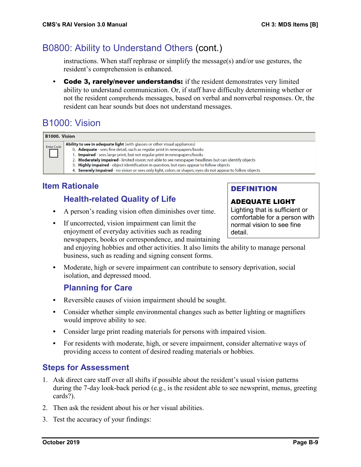# B0800: Ability to Understand Others (cont.)

instructions. When staff rephrase or simplify the message(s) and/or use gestures, the resident's comprehension is enhanced.

**•** Code 3, rarely/never understands: if the resident demonstrates very limited ability to understand communication. Or, if staff have difficulty determining whether or not the resident comprehends messages, based on verbal and nonverbal responses. Or, the resident can hear sounds but does not understand messages.

# B1000: Vision

| B1000. Vision     |                                                                                                             |  |  |
|-------------------|-------------------------------------------------------------------------------------------------------------|--|--|
| <b>Enter Code</b> | <b>Ability to see in adequate light</b> (with glasses or other visual appliances)                           |  |  |
|                   | 0. Adequate - sees fine detail, such as regular print in newspapers/books                                   |  |  |
|                   | Impaired - sees large print, but not regular print in newspapers/books                                      |  |  |
|                   | 2. Moderately impaired - limited vision; not able to see newspaper headlines but can identify objects       |  |  |
|                   | 3. Highly impaired - object identification in question, but eyes appear to follow objects                   |  |  |
|                   | 4. Severely impaired - no vision or sees only light, colors or shapes; eves do not appear to follow objects |  |  |
|                   |                                                                                                             |  |  |

# **Item Rationale**

# **Health-related Quality of Life**

- **•** A person's reading vision often diminishes over time.
- **•** If uncorrected, vision impairment can limit the enjoyment of everyday activities such as reading newspapers, books or correspondence, and maintaining

and enjoying hobbies and other activities. It also limits the ability to manage personal business, such as reading and signing consent forms.

**•** Moderate, high or severe impairment can contribute to sensory deprivation, social isolation, and depressed mood.

# **Planning for Care**

- **•** Reversible causes of vision impairment should be sought.
- Consider whether simple environmental changes such as better lighting or magnifiers would improve ability to see.
- **•** Consider large print reading materials for persons with impaired vision.
- **•** For residents with moderate, high, or severe impairment, consider alternative ways of providing access to content of desired reading materials or hobbies.

# **Steps for Assessment**

- 1. Ask direct care staff over all shifts if possible about the resident's usual vision patterns during the 7-day look-back period (e.g., is the resident able to see newsprint, menus, greeting cards?).
- 2. Then ask the resident about his or her visual abilities.
- 3. Test the accuracy of your findings:

# DEFINITION

#### ADEQUATE LIGHT

Lighting that is sufficient or comfortable for a person with normal vision to see fine detail.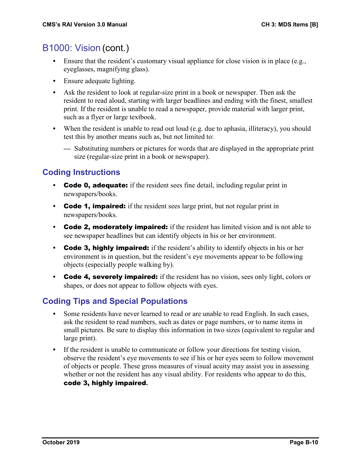# B1000: Vision (cont.)

- Ensure that the resident's customary visual appliance for close vision is in place (e.g., eyeglasses, magnifying glass).
- **•** Ensure adequate lighting.
- **•** Ask the resident to look at regular-size print in a book or newspaper. Then ask the resident to read aloud, starting with larger headlines and ending with the finest, smallest print. If the resident is unable to read a newspaper, provide material with larger print, such as a flyer or large textbook.
- **•** When the resident is unable to read out loud (e.g. due to aphasia, illiteracy), you should test this by another means such as, but not limited to:
	- **—** Substituting numbers or pictures for words that are displayed in the appropriate print size (regular-size print in a book or newspaper).

# **Coding Instructions**

- **Code 0, adequate:** if the resident sees fine detail, including regular print in newspapers/books.
- **Code 1, impaired:** if the resident sees large print, but not regular print in newspapers/books.
- **•** Code 2, moderately impaired: if the resident has limited vision and is not able to see newspaper headlines but can identify objects in his or her environment.
- **•** Code 3, highly impaired: if the resident's ability to identify objects in his or her environment is in question, but the resident's eye movements appear to be following objects (especially people walking by).
- **•** Code 4, severely impaired: if the resident has no vision, sees only light, colors or shapes, or does not appear to follow objects with eyes.

# **Coding Tips and Special Populations**

- **•** Some residents have never learned to read or are unable to read English. In such cases, ask the resident to read numbers, such as dates or page numbers, or to name items in small pictures. Be sure to display this information in two sizes (equivalent to regular and large print).
- **•** If the resident is unable to communicate or follow your directions for testing vision, observe the resident's eye movements to see if his or her eyes seem to follow movement of objects or people. These gross measures of visual acuity may assist you in assessing whether or not the resident has any visual ability. For residents who appear to do this, code 3, highly impaired**.**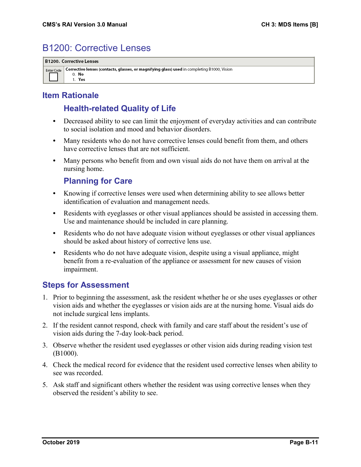# B1200: Corrective Lenses

#### **B1200. Corrective Lenses**

|  | EnterCode   Corrective lenses (contacts, glasses, or magnifying glass) used in completing B1000, Vision |  |  |  |
|--|---------------------------------------------------------------------------------------------------------|--|--|--|
|  |                                                                                                         |  |  |  |
|  | $\begin{array}{ c c c }\n\hline\n\end{array}$ $\begin{array}{ c c }\n\hline\n\end{array}$ 1. Yes        |  |  |  |

### **Item Rationale**

# **Health-related Quality of Life**

- Decreased ability to see can limit the enjoyment of everyday activities and can contribute to social isolation and mood and behavior disorders.
- Many residents who do not have corrective lenses could benefit from them, and others have corrective lenses that are not sufficient.
- **•** Many persons who benefit from and own visual aids do not have them on arrival at the nursing home.

### **Planning for Care**

- **•** Knowing if corrective lenses were used when determining ability to see allows better identification of evaluation and management needs.
- **•** Residents with eyeglasses or other visual appliances should be assisted in accessing them. Use and maintenance should be included in care planning.
- **•** Residents who do not have adequate vision without eyeglasses or other visual appliances should be asked about history of corrective lens use.
- **•** Residents who do not have adequate vision, despite using a visual appliance, might benefit from a re-evaluation of the appliance or assessment for new causes of vision impairment.

### **Steps for Assessment**

- 1. Prior to beginning the assessment, ask the resident whether he or she uses eyeglasses or other vision aids and whether the eyeglasses or vision aids are at the nursing home. Visual aids do not include surgical lens implants.
- 2. If the resident cannot respond, check with family and care staff about the resident's use of vision aids during the 7-day look-back period.
- 3. Observe whether the resident used eyeglasses or other vision aids during reading vision test (B1000).
- 4. Check the medical record for evidence that the resident used corrective lenses when ability to see was recorded.
- 5. Ask staff and significant others whether the resident was using corrective lenses when they observed the resident's ability to see.